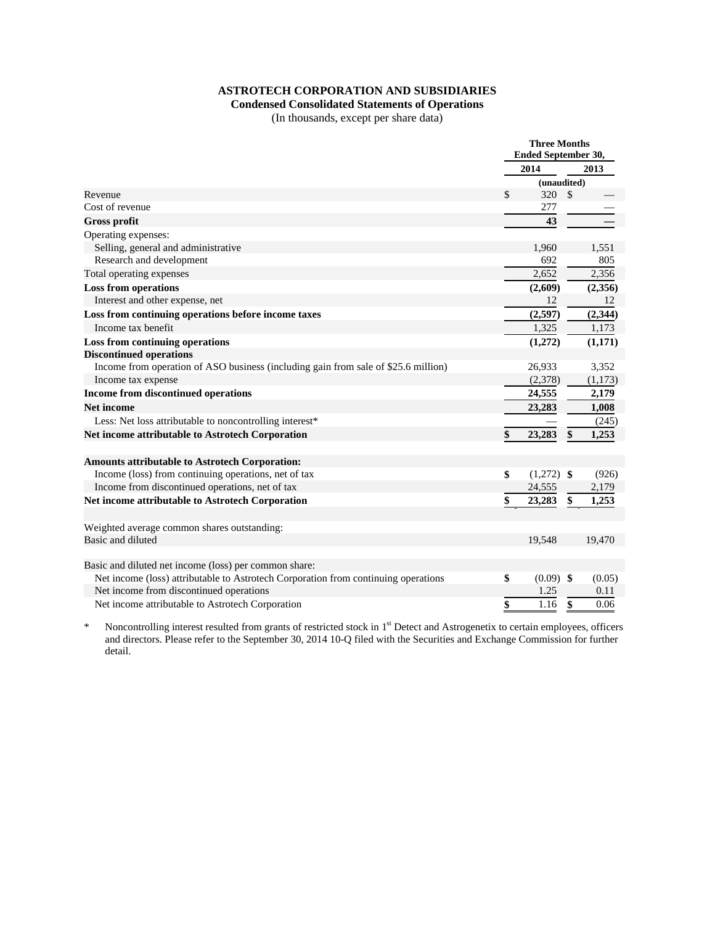## **ASTROTECH CORPORATION AND SUBSIDIARIES**

# **Condensed Consolidated Statements of Operations**

(In thousands, except per share data)

|                                                                                    | <b>Three Months</b><br>Ended September 30, |              |               |             |  |
|------------------------------------------------------------------------------------|--------------------------------------------|--------------|---------------|-------------|--|
|                                                                                    | 2014                                       |              | 2013          |             |  |
|                                                                                    |                                            |              |               | (unaudited) |  |
| Revenue                                                                            | \$                                         | 320          | $\mathcal{S}$ |             |  |
| Cost of revenue                                                                    |                                            | 277          |               |             |  |
| <b>Gross profit</b>                                                                |                                            | 43           |               |             |  |
| Operating expenses:                                                                |                                            |              |               |             |  |
| Selling, general and administrative                                                |                                            | 1,960        |               | 1,551       |  |
| Research and development                                                           |                                            | 692          |               | 805         |  |
| Total operating expenses                                                           |                                            | 2,652        |               | 2,356       |  |
| <b>Loss from operations</b>                                                        |                                            | (2,609)      |               | (2,356)     |  |
| Interest and other expense, net                                                    |                                            | 12           |               | -12         |  |
| Loss from continuing operations before income taxes                                |                                            | (2,597)      |               | (2, 344)    |  |
| Income tax benefit                                                                 |                                            | 1,325        |               | 1,173       |  |
| Loss from continuing operations                                                    |                                            | (1,272)      |               | (1, 171)    |  |
| <b>Discontinued operations</b>                                                     |                                            |              |               |             |  |
| Income from operation of ASO business (including gain from sale of \$25.6 million) |                                            | 26,933       |               | 3,352       |  |
| Income tax expense                                                                 |                                            | (2,378)      |               | (1,173)     |  |
| Income from discontinued operations                                                |                                            | 24,555       |               | 2,179       |  |
| <b>Net income</b>                                                                  |                                            | 23,283       |               | 1,008       |  |
| Less: Net loss attributable to noncontrolling interest*                            |                                            |              |               | (245)       |  |
| <b>Net income attributable to Astrotech Corporation</b>                            |                                            | 23,283       |               | 1,253       |  |
| Amounts attributable to Astrotech Corporation:                                     |                                            |              |               |             |  |
| Income (loss) from continuing operations, net of tax                               | \$                                         | $(1,272)$ \$ |               | (926)       |  |
| Income from discontinued operations, net of tax                                    |                                            | 24,555       |               | 2,179       |  |
| Net income attributable to Astrotech Corporation                                   | \$                                         | 23,283       | \$            | 1,253       |  |
| Weighted average common shares outstanding:                                        |                                            |              |               |             |  |
| Basic and diluted                                                                  |                                            | 19,548       |               | 19,470      |  |
| Basic and diluted net income (loss) per common share:                              |                                            |              |               |             |  |
| Net income (loss) attributable to Astrotech Corporation from continuing operations | \$                                         | $(0.09)$ \$  |               | (0.05)      |  |
| Net income from discontinued operations                                            |                                            | 1.25         |               | 0.11        |  |
| Net income attributable to Astrotech Corporation                                   | \$                                         | 1.16         | \$            | 0.06        |  |

\* Noncontrolling interest resulted from grants of restricted stock in 1<sup>st</sup> Detect and Astrogenetix to certain employees, officers and directors. Please refer to the September 30, 2014 10-Q filed with the Securities and Exchange Commission for further detail.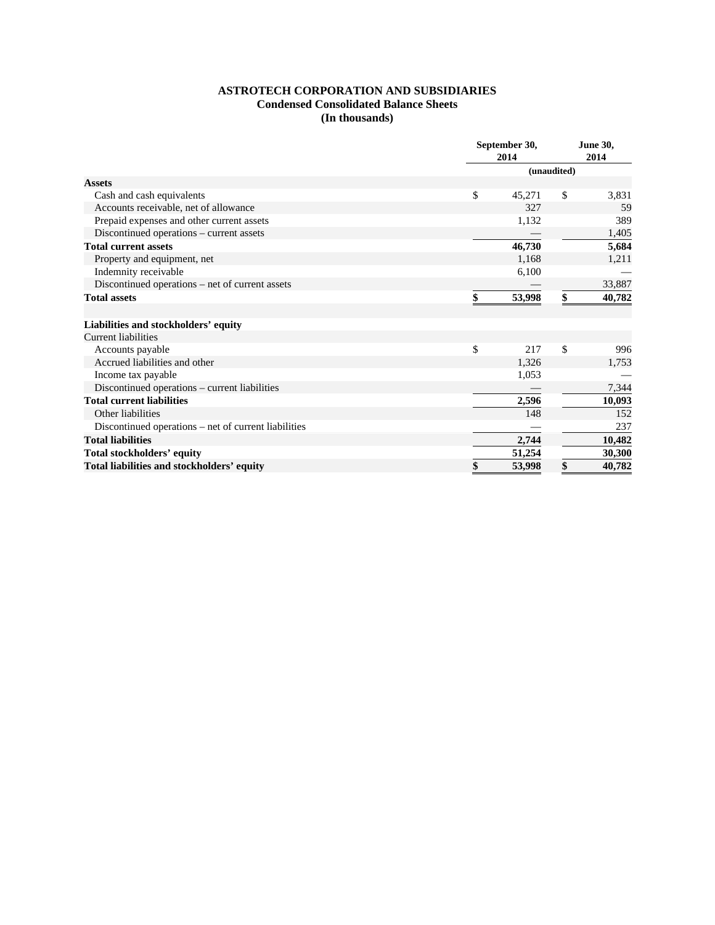### **ASTROTECH CORPORATION AND SUBSIDIARIES Condensed Consolidated Balance Sheets (In thousands)**

|                                                      | September 30,<br>2014 |    | <b>June 30,</b><br>2014 |  |  |
|------------------------------------------------------|-----------------------|----|-------------------------|--|--|
|                                                      | (unaudited)           |    |                         |  |  |
| <b>Assets</b>                                        |                       |    |                         |  |  |
| Cash and cash equivalents                            | \$<br>45,271          | \$ | 3,831                   |  |  |
| Accounts receivable, net of allowance                | 327                   |    | 59                      |  |  |
| Prepaid expenses and other current assets            | 1,132                 |    | 389                     |  |  |
| Discontinued operations - current assets             |                       |    | 1,405                   |  |  |
| <b>Total current assets</b>                          | 46,730                |    | 5,684                   |  |  |
| Property and equipment, net                          | 1,168                 |    | 1,211                   |  |  |
| Indemnity receivable                                 | 6,100                 |    |                         |  |  |
| Discontinued operations – net of current assets      |                       |    | 33,887                  |  |  |
| <b>Total assets</b>                                  | \$<br>53,998          | \$ | 40,782                  |  |  |
| Liabilities and stockholders' equity                 |                       |    |                         |  |  |
| <b>Current liabilities</b>                           |                       |    |                         |  |  |
| Accounts payable                                     | \$<br>217             | \$ | 996                     |  |  |
| Accrued liabilities and other                        | 1,326                 |    | 1,753                   |  |  |
| Income tax payable                                   | 1,053                 |    |                         |  |  |
| Discontinued operations – current liabilities        |                       |    | 7,344                   |  |  |
| <b>Total current liabilities</b>                     | 2,596                 |    | 10,093                  |  |  |
| Other liabilities                                    | 148                   |    | 152                     |  |  |
| Discontinued operations – net of current liabilities |                       |    | 237                     |  |  |
| <b>Total liabilities</b>                             | 2,744                 |    | 10,482                  |  |  |
| <b>Total stockholders' equity</b>                    | 51,254                |    | 30,300                  |  |  |
| Total liabilities and stockholders' equity           | \$<br>53,998          | \$ | 40,782                  |  |  |